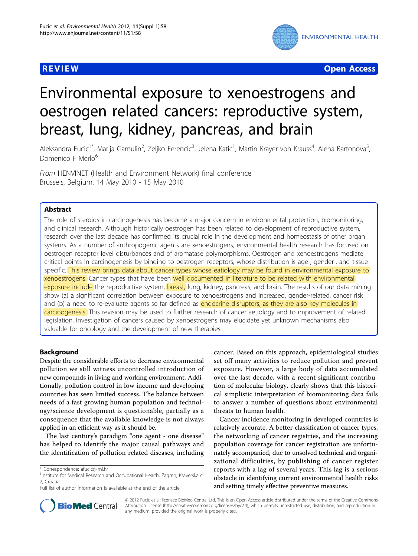

**REVIEW CONSTRUCTION CONSTRUCTION CONSTRUCTS** 

# Environmental exposure to xenoestrogens and oestrogen related cancers: reproductive system, breast, lung, kidney, pancreas, and brain

Aleksandra Fucic<sup>1\*</sup>, Marija Gamulin<sup>2</sup>, Zeljko Ferencic<sup>3</sup>, Jelena Katic<sup>1</sup>, Martin Krayer von Krauss<sup>4</sup>, Alena Bartonova<sup>5</sup> , Domenico F Merlo<sup>6</sup>

From HENVINET (Health and Environment Network) final conference Brussels, Belgium. 14 May 2010 - 15 May 2010

# Abstract

The role of steroids in carcinogenesis has become a major concern in environmental protection, biomonitoring, and clinical research. Although historically oestrogen has been related to development of reproductive system, research over the last decade has confirmed its crucial role in the development and homeostasis of other organ systems. As a number of anthropogenic agents are xenoestrogens, environmental health research has focused on oestrogen receptor level disturbances and of aromatase polymorphisms. Oestrogen and xenoestrogens mediate critical points in carcinogenesis by binding to oestrogen receptors, whose distribution is age-, gender-, and tissuespecific. This review brings data about cancer types whose eatiology may be found in environmental exposure to xenoestrogens. Cancer types that have been well documented in literature to be related with environmental exposure include the reproductive system, breast, lung, kidney, pancreas, and brain. The results of our data mining show (a) a significant correlation between exposure to xenoestrogens and increased, gender-related, cancer risk and (b) a need to re-evaluate agents so far defined as endocrine disruptors, as they are also key molecules in carcinogenesis. This revision may be used to further research of cancer aetiology and to improvement of related legislation. Investigation of cancers caused by xenoestrogens may elucidate yet unknown mechanisms also valuable for oncology and the development of new therapies.

# **Background**

Despite the considerable efforts to decrease environmental pollution we still witness uncontrolled introduction of new compounds in living and working environment. Additionally, pollution control in low income and developing countries has seen limited success. The balance between needs of a fast growing human population and technology/science development is questionable, partially as a consequence that the available knowledge is not always applied in an efficient way as it should be.

The last century's paradigm "one agent - one disease" has helped to identify the major causal pathways and the identification of pollution related diseases, including cancer. Based on this approach, epidemiological studies set off many activities to reduce pollution and prevent exposure. However, a large body of data accumulated over the last decade, with a recent significant contribution of molecular biology, clearly shows that this historical simplistic interpretation of biomonitoring data fails to answer a number of questions about environmental threats to human health.

Cancer incidence monitoring in developed countries is relatively accurate. A better classification of cancer types, the networking of cancer registries, and the increasing population coverage for cancer registration are unfortunately accompanied, due to unsolved technical and organizational difficulties, by publishing of cancer register reports with a lag of several years. This lag is a serious obstacle in identifying current environmental health risks and setting timely effective preventive measures.



© 2012 Fucic et al; licensee BioMed Central Ltd. This is an Open Access article distributed under the terms of the Creative Commons Attribution License [\(http://creativecommons.org/licenses/by/2.0](http://creativecommons.org/licenses/by/2.0)), which permits unrestricted use, distribution, and reproduction in any medium, provided the original work is properly cited.

<sup>\*</sup> Correspondence: [afucic@imi.hr](mailto:afucic@imi.hr)

<sup>&</sup>lt;sup>1</sup>Institute for Medical Research and Occupational Health, Zagreb, Ksaverska c 2, Croatia

Full list of author information is available at the end of the article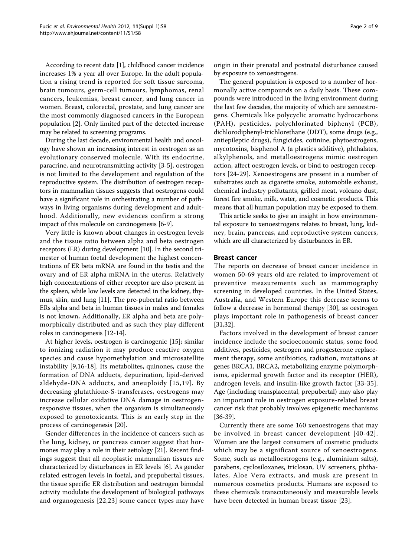According to recent data [\[1\]](#page-5-0), childhood cancer incidence increases 1% a year all over Europe. In the adult population a rising trend is reported for soft tissue sarcoma, brain tumours, germ-cell tumours, lymphomas, renal cancers, leukemias, breast cancer, and lung cancer in women. Breast, colorectal, prostate, and lung cancer are the most commonly diagnosed cancers in the European population [[2\]](#page-5-0). Only limited part of the detected increase may be related to screening programs.

During the last decade, environmental health and oncology have shown an increasing interest in oestrogen as an evolutionary conserved molecule. With its endocrine, paracrine, and neurotransmitting activity [\[3](#page-5-0)-[5\]](#page-5-0), oestrogen is not limited to the development and regulation of the reproductive system. The distribution of oestrogen receptors in mammalian tissues suggests that oestrogens could have a significant role in orchestrating a number of pathways in living organisms during development and adulthood. Additionally, new evidences confirm a strong impact of this molecule on carcinogenesis [[6-9\]](#page-5-0).

Very little is known about changes in oestrogen levels and the tissue ratio between alpha and beta oestrogen receptors (ER) during development [\[10\]](#page-5-0). In the second trimester of human foetal development the highest concentrations of ER beta mRNA are found in the testis and the ovary and of ER alpha mRNA in the uterus. Relatively high concentrations of either receptor are also present in the spleen, while low levels are detected in the kidney, thymus, skin, and lung [\[11](#page-5-0)]. The pre-pubertal ratio between ERs alpha and beta in human tissues in males and females is not known. Additionally, ER alpha and beta are polymorphically distributed and as such they play different roles in carcinogenesis [[12-14\]](#page-5-0).

At higher levels, oestrogen is carcinogenic [[15](#page-5-0)]; similar to ionizing radiation it may produce reactive oxygen species and cause hypomethylation and microsatellite instability [\[9,16](#page-5-0)-[18\]](#page-5-0). Its metabolites, quinones, cause the formation of DNA adducts, depurination, lipid-derived aldehyde-DNA adducts, and aneuploidy [[15](#page-5-0),[19\]](#page-5-0). By decreasing glutathione-S-transferases, oestrogens may increase cellular oxidative DNA damage in oestrogenresponsive tissues, when the organism is simultaneously exposed to genotoxicants. This is an early step in the process of carcinogenesis [\[20](#page-5-0)].

Gender differences in the incidence of cancers such as the lung, kidney, or pancreas cancer suggest that hormones may play a role in their aetiology [[21](#page-5-0)]. Recent findings suggest that all neoplastic mammalian tissues are characterized by disturbances in ER levels [[6\]](#page-5-0). As gender related estrogen levels in foetal, and prepubertal tissues, the tissue specific ER distribution and oestrogen bimodal activity modulate the development of biological pathways and organogenesis [\[22](#page-5-0),[23\]](#page-5-0) some cancer types may have

origin in their prenatal and postnatal disturbance caused by exposure to xenoestrogens.

The general population is exposed to a number of hormonally active compounds on a daily basis. These compounds were introduced in the living environment during the last few decades, the majority of which are xenoestrogens. Chemicals like polycyclic aromatic hydrocarbons (PAH), pesticides, polychlorinated biphenyl (PCB), dichlorodiphenyl-trichlorethane (DDT), some drugs (e.g., antiepileptic drugs), fungicides, cotinine, phytoestrogens, mycotoxins, bisphenol A (a plastics additive), phthalates, alkylphenols, and metalloestrogens mimic oestrogen action, affect oestrogen levels, or bind to oestrogen receptors [\[24-29](#page-5-0)]. Xenoestrogens are present in a number of substrates such as cigarette smoke, automobile exhaust, chemical industry pollutants, grilled meat, volcano dust, forest fire smoke, milk, water, and cosmetic products. This means that all human population may be exposed to them.

This article seeks to give an insight in how environmental exposure to xenoestrogens relates to breast, lung, kidney, brain, pancreas, and reproductive system cancers, which are all characterized by disturbances in ER.

#### Breast cancer

The reports on decrease of breast cancer incidence in women 50-69 years old are related to improvement of preventive measurements such as mammography screening in developed countries. In the United States, Australia, and Western Europe this decrease seems to follow a decrease in hormonal therapy [\[30](#page-5-0)], as oestrogen plays important role in pathogenesis of breast cancer [[31,32\]](#page-6-0).

Factors involved in the development of breast cancer incidence include the socioeconomic status, some food additives, pesticides, oestrogen and progesterone replacement therapy, some antibiotics, radiation, mutations at genes BRCA1, BRCA2, metabolizing enzyme polymorphisms, epidermal growth factor and its receptor (HER), androgen levels, and insulin-like growth factor [[33](#page-6-0)-[35](#page-6-0)]. Age (including transplacental, prepubertal) may also play an important role in oestrogen exposure-related breast cancer risk that probably involves epigenetic mechanisms [[36](#page-6-0)-[39](#page-6-0)].

Currently there are some 160 xenoestrogens that may be involved in breast cancer development [[40](#page-6-0)-[42\]](#page-6-0). Women are the largest consumers of cosmetic products which may be a significant source of xenoestrogens. Some, such as metalloestrogens (e.g., aluminium salts), parabens, cyclosiloxanes, triclosan, UV screeners, phthalates, Aloe Vera extracts, and musk are present in numerous cosmetics products. Humans are exposed to these chemicals transcutaneously and measurable levels have been detected in human breast tissue [\[23](#page-5-0)].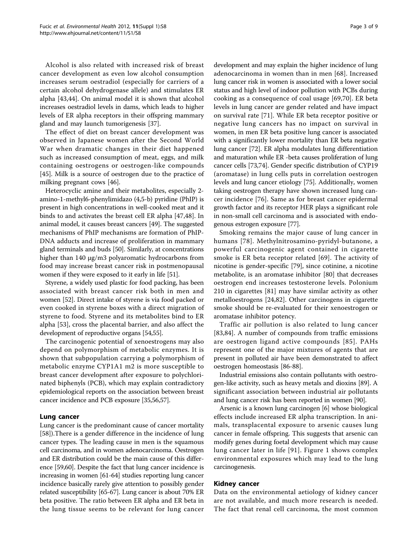Alcohol is also related with increased risk of breast cancer development as even low alcohol consumption increases serum oestradiol (especially for carriers of a certain alcohol dehydrogenase allele) and stimulates ER alpha [\[43,44](#page-6-0)]. On animal model it is shown that alcohol increases oestradiol levels in dams, which leads to higher levels of ER alpha receptors in their offspring mammary gland and may launch tumorigenesis [\[37\]](#page-6-0).

The effect of diet on breast cancer development was observed in Japanese women after the Second World War when dramatic changes in their diet happened such as increased consumption of meat, eggs, and milk containing oestrogens or oestrogen-like compounds [[45\]](#page-6-0). Milk is a source of oestrogen due to the practice of milking pregnant cows [[46](#page-6-0)].

Heterocyclic amine and their metabolites, especially 2 amino-1-methyl6-phenylimidazo (4,5-b) pyridine (PhIP) is present in high concentrations in well-cooked meat and it binds to and activates the breast cell ER alpha [[47,48\]](#page-6-0). In animal model, it causes breast cancers [\[49](#page-6-0)]. The suggested mechanisms of PhIP mechanisms are formation of PhIP-DNA adducts and increase of proliferation in mammary gland terminals and buds [[50](#page-6-0)]. Similarly, at concentrations higher than 140 μg/m3 polyaromatic hydrocarbons from food may increase breast cancer risk in postmenopausal women if they were exposed to it early in life [\[51\]](#page-6-0).

Styrene, a widely used plastic for food packing, has been associated with breast cancer risk both in men and women [\[52\]](#page-6-0). Direct intake of styrene is via food packed or even cooked in styrene boxes with a direct migration of styrene to food. Styrene and its metabolites bind to ER alpha [[53\]](#page-6-0), cross the placental barrier, and also affect the development of reproductive organs [\[54,55](#page-6-0)].

The carcinogenic potential of xenoestrogens may also depend on polymorphism of metabolic enzymes. It is shown that subpopulation carrying a polymorphism of metabolic enzyme CYP1A1 m2 is more susceptible to breast cancer development after exposure to polychlorinated biphenyls (PCB), which may explain contradictory epidemiological reports on the association between breast cancer incidence and PCB exposure [\[35,56,57\]](#page-6-0).

## Lung cancer

Lung cancer is the predominant cause of cancer mortality [[58\]](#page-6-0)).There is a gender difference in the incidence of lung cancer types. The leading cause in men is the squamous cell carcinoma, and in women adenocarcinoma. Oestrogen and ER distribution could be the main cause of this difference [[59](#page-6-0),[60](#page-6-0)]. Despite the fact that lung cancer incidence is increasing in women [[61](#page-6-0)-[64](#page-6-0)] studies reporting lung cancer incidence basically rarely give attention to possibly gender related susceptibility [[65](#page-6-0)-[67](#page-6-0)]. Lung cancer is about 70% ER beta positive. The ratio between ER alpha and ER beta in the lung tissue seems to be relevant for lung cancer development and may explain the higher incidence of lung adenocarcinoma in women than in men [[68\]](#page-6-0). Increased lung cancer risk in women is associated with a lower social status and high level of indoor pollution with PCBs during cooking as a consequence of coal usage [[69,70](#page-6-0)]. ER beta levels in lung cancer are gender related and have impact on survival rate [[71\]](#page-6-0). While ER beta receptor positive or negative lung cancers has no impact on survival in women, in men ER beta positive lung cancer is associated with a significantly lower mortality than ER beta negative lung cancer [\[72\]](#page-6-0). ER alpha modulates lung differentiation and maturation while ER -beta causes proliferation of lung cancer cells [[73](#page-6-0),[74](#page-6-0)]. Gender specific distribution of CYP19 (aromatase) in lung cells puts in correlation oestrogen levels and lung cancer etiology [[75\]](#page-6-0). Additionally, women taking oestrogen therapy have shown increased lung cancer incidence [[76](#page-6-0)]. Same as for breast cancer epidermal growth factor and its receptor HER plays a significant role in non-small cell carcinoma and is associated with endo-

Smoking remains the major cause of lung cancer in humans [[78](#page-7-0)]. Methylnitrosamino-pyridyl-butanone, a powerful carcinogenic agent contained in cigarette smoke is ER beta receptor related [[69](#page-6-0)]. The activity of nicotine is gender-specific [[79\]](#page-7-0), since cotinine, a nicotine metabolite, is an aromatase inhibitor [[80\]](#page-7-0) that decreases oestrogen end increases testosterone levels. Polonium 210 in cigarettes [[81\]](#page-7-0) may have similar activity as other metalloestrogens [[24,](#page-5-0)[82](#page-7-0)]. Other carcinogens in cigarette smoke should be re-evaluated for their xenoestrogen or aromatase inhibitor potency.

genous estrogen exposure [\[77\]](#page-7-0).

Traffic air pollution is also related to lung cancer [[83,84\]](#page-7-0). A number of compounds from traffic emissions are oestrogen ligand active compounds [[85](#page-7-0)]. PAHs represent one of the major mixtures of agents that are present in polluted air have been demonstrated to affect oestrogen homeostasis [\[86](#page-7-0)-[88](#page-7-0)].

Industrial emissions also contain pollutants with oestrogen-like activity, such as heavy metals and dioxins [[89\]](#page-7-0). A significant association between industrial air pollutants and lung cancer risk has been reported in women [[90](#page-7-0)].

Arsenic is a known lung carcinogen [[6\]](#page-5-0) whose biological effects include increased ER alpha transcription. In animals, transplacental exposure to arsenic causes lung cancer in female offspring. This suggests that arsenic can modify genes during foetal development which may cause lung cancer later in life [[91](#page-7-0)]. Figure [1](#page-3-0) shows complex environmental exposures which may lead to the lung carcinogenesis.

#### Kidney cancer

Data on the environmental aetiology of kidney cancer are not available, and much more research is needed. The fact that renal cell carcinoma, the most common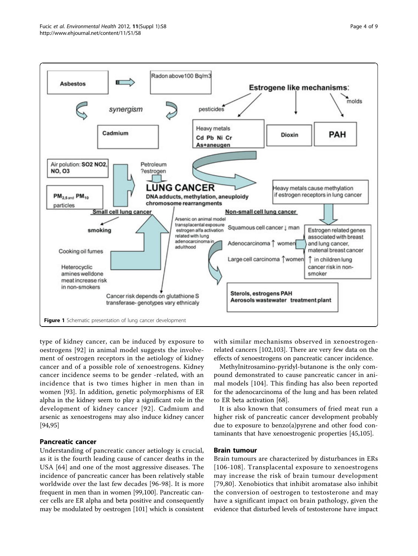<span id="page-3-0"></span>

type of kidney cancer, can be induced by exposure to oestrogens [[92\]](#page-7-0) in animal model suggests the involvement of oestrogen receptors in the aetiology of kidney cancer and of a possible role of xenoestrogens. Kidney cancer incidence seems to be gender -related, with an incidence that is two times higher in men than in women [[93\]](#page-7-0). In addition, genetic polymorphisms of ER alpha in the kidney seem to play a significant role in the development of kidney cancer [[92](#page-7-0)]. Cadmium and arsenic as xenoestrogens may also induce kidney cancer [[94,95\]](#page-7-0)

# Pancreatic cancer

Understanding of pancreatic cancer aetiology is crucial, as it is the fourth leading cause of cancer deaths in the USA [[64](#page-6-0)] and one of the most aggressive diseases. The incidence of pancreatic cancer has been relatively stable worldwide over the last few decades [\[96-98](#page-7-0)]. It is more frequent in men than in women [[99,100\]](#page-7-0). Pancreatic cancer cells are ER alpha and beta positive and consequently may be modulated by oestrogen [[101](#page-7-0)] which is consistent with similar mechanisms observed in xenoestrogenrelated cancers [\[102,103](#page-7-0)]. There are very few data on the effects of xenoestrogens on pancreatic cancer incidence.

Methylnitrosamino-pyridyl-butanone is the only compound demonstrated to cause pancreatic cancer in animal models [[104](#page-7-0)]. This finding has also been reported for the adenocarcinoma of the lung and has been related to ER beta activation [\[68\]](#page-6-0).

It is also known that consumers of fried meat run a higher risk of pancreatic cancer development probably due to exposure to benzo(a)pyrene and other food contaminants that have xenoestrogenic properties [[45,](#page-6-0)[105](#page-7-0)].

# Brain tumour

Brain tumours are characterized by disturbances in ERs [[106](#page-7-0)-[108\]](#page-7-0). Transplacental exposure to xenoestrogens may increase the risk of brain tumour development [[79](#page-7-0),[80\]](#page-7-0). Xenobiotics that inhibit aromatase also inhibit the conversion of oestrogen to testosterone and may have a significant impact on brain pathology, given the evidence that disturbed levels of testosterone have impact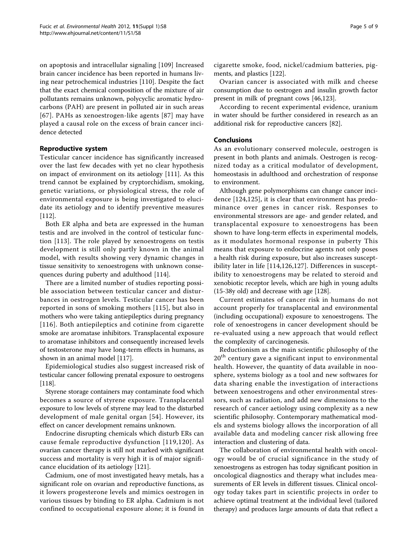on apoptosis and intracellular signaling [[109](#page-7-0)] Increased brain cancer incidence has been reported in humans living near petrochemical industries [[110\]](#page-7-0). Despite the fact that the exact chemical composition of the mixture of air pollutants remains unknown, polycyclic aromatic hydrocarbons (PAH) are present in polluted air in such areas [[67\]](#page-6-0). PAHs as xenoestrogen-like agents [\[87\]](#page-7-0) may have played a causal role on the excess of brain cancer incidence detected

# Reproductive system

Testicular cancer incidence has significantly increased over the last few decades with yet no clear hypothesis on impact of environment on its aetiology [\[111](#page-7-0)]. As this trend cannot be explained by cryptorchidism, smoking, genetic variations, or physiological stress, the role of environmental exposure is being investigated to elucidate its aetiology and to identify preventive measures [[112](#page-7-0)].

Both ER alpha and beta are expressed in the human testis and are involved in the control of testicular function [[113\]](#page-7-0). The role played by xenoestrogens on testis development is still only partly known in the animal model, with results showing very dynamic changes in tissue sensitivity to xenoestrogens with unknown consequences during puberty and adulthood [[114](#page-7-0)].

There are a limited number of studies reporting possible association between testicular cancer and disturbances in oestrogen levels. Testicular cancer has been reported in sons of smoking mothers [\[115\]](#page-7-0), but also in mothers who were taking antiepileptics during pregnancy [[116\]](#page-7-0). Both antiepileptics and cotinine from cigarette smoke are aromatase inhibitors. Transplacental exposure to aromatase inhibitors and consequently increased levels of testosterone may have long-term effects in humans, as shown in an animal model [\[117\]](#page-7-0).

Epidemiological studies also suggest increased risk of testicular cancer following prenatal exposure to oestrogens [[118](#page-7-0)].

Styrene storage containers may contaminate food which becomes a source of styrene exposure. Transplacental exposure to low levels of styrene may lead to the disturbed development of male genital organ [[54\]](#page-6-0). However, its effect on cancer development remains unknown.

Endocrine disrupting chemicals which disturb ERs can cause female reproductive dysfunction [[119,120](#page-7-0)]. As ovarian cancer therapy is still not marked with significant success and mortality is very high it is of major significance elucidation of its aetiology [[121](#page-7-0)].

Cadmium, one of most investigated heavy metals, has a significant role on ovarian and reproductive functions, as it lowers progesterone levels and mimics oestrogen in various tissues by binding to ER alpha. Cadmium is not confined to occupational exposure alone; it is found in cigarette smoke, food, nickel/cadmium batteries, pigments, and plastics [[122](#page-7-0)].

Ovarian cancer is associated with milk and cheese consumption due to oestrogen and insulin growth factor present in milk of pregnant cows [\[46](#page-6-0)[,123](#page-7-0)].

According to recent experimental evidence, uranium in water should be further considered in research as an additional risk for reproductive cancers [[82](#page-7-0)].

# Conclusions

As an evolutionary conserved molecule, oestrogen is present in both plants and animals. Oestrogen is recognized today as a critical modulator of development, homeostasis in adulthood and orchestration of response to environment.

Although gene polymorphisms can change cancer incidence [\[124,](#page-7-0)[125\]](#page-8-0), it is clear that environment has predominance over genes in cancer risk. Responses to environmental stressors are age- and gender related, and transplacental exposure to xenoestrogens has been shown to have long-term effects in experimental models, as it modulates hormonal response in puberty This means that exposure to endocrine agents not only poses a health risk during exposure, but also increases susceptibility later in life [[114](#page-7-0)[,126](#page-8-0),[127\]](#page-8-0). Differences in susceptibility to xenoestrogens may be related to steroid and xenobiotic receptor levels, which are high in young adults (15-38y old) and decrease with age [[128](#page-8-0)].

Current estimates of cancer risk in humans do not account properly for transplacental and environmental (including occupational) exposure to xenoestrogens. The role of xenoestrogens in cancer development should be re-evaluated using a new approach that would reflect the complexity of carcinogenesis.

Reductionism as the main scientific philosophy of the 20<sup>th</sup> century gave a significant input to environmental health. However, the quantity of data available in noosphere, systems biology as a tool and new softwares for data sharing enable the investigation of interactions between xenoestrogens and other environmental stressors, such as radiation, and add new dimensions to the research of cancer aetiology using complexity as a new scientific philosophy. Contemporary mathematical models and systems biology allows the incorporation of all available data and modeling cancer risk allowing free interaction and clustering of data.

The collaboration of environmental health with oncology would be of crucial significance in the study of xenoestrogens as estrogen has today significant position in oncological diagnostics and therapy what includes measurements of ER levels in different tissues. Clinical oncology today takes part in scientific projects in order to achieve optimal treatment at the individual level (tailored therapy) and produces large amounts of data that reflect a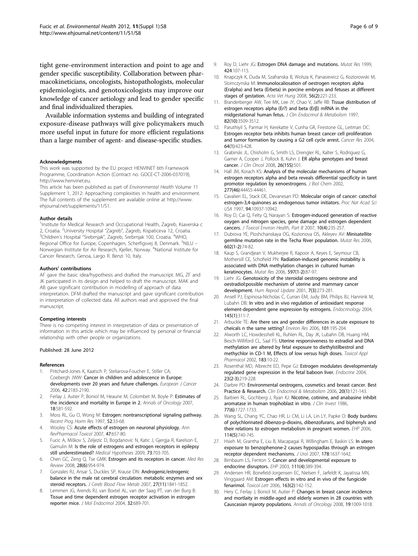<span id="page-5-0"></span>tight gene-environment interaction and point to age and gender specific susceptibility. Collaboration between pharmacokineticians, oncologists, histopathologists, molecular epidemiologists, and genotoxicologists may improve our knowledge of cancer aetiology and lead to gender specific and final individualized therapies.

Available information systems and building of integrated exposure-disease pathways will give policymakers much more useful input in future for more efficient regulations than a large number of agent- and disease-specific studies.

#### Acknowledgments

This work was supported by the EU project HENVINET 6th Framework Programme, Coordination Action (Contract no. GOCE-CT-2006-037019), [http://www.henvinet.eu.](http://www.henvinet.eu)

This article has been published as part of Environmental Health Volume 11 Supplement 1, 2012: Approaching complexities in health and environment. The full contents of the supplement are available online at [http://www.](http://www.ehjournal.net/supplements/11/S1) [ehjournal.net/supplements/11/S1](http://www.ehjournal.net/supplements/11/S1).

#### Author details

<sup>1</sup>Institute for Medical Research and Occupational Health, Zagreb, Ksaverska c 2, Croatia. <sup>2</sup>University Hospital "Zagreb", Zagreb, Kispaticeva 12, Croatia.<br><sup>3</sup>Children's Hospital "Srebrniak", Zagreb, Srebrniak 100, Croatia. <sup>4</sup>WHO Children's Hospital "Srebrnjak", Zagreb, Srebrnjak 100, Croatia. <sup>4</sup>WHO, Regional Office for Europe, Copenhagen, Scherfigsvej 8, Denmark. <sup>5</sup>NILU – Norwegian Institute for Air Research, Kjeller, Norway. <sup>6</sup>National Institute for Cancer Research, Genoa, Largo R. Benzi 10, Italy.

#### Authors' contributions

AF gave the basic idea/hypothesis and drafted the manuscript. MG, ZF and JK participated in its design and helped to draft the manuscript. MAK and AB gave significant contribution in modelling of approach of data interpretation. DFM drafted the manuscript and gave significant contribution in interpretation of collected data. All authors read and approved the final manuscript.

#### Competing interests

There is no competing interest in interpretation of data or presentation of information in this article which may be influenced by personal or financial relationship with other people or organizations.

#### Published: 28 June 2012

#### References

- 1. Pritchard-Jones K, Kaatsch P, Steliarova-Foucher E, Stiller CA, Coebergh JWW: Cancer in children and adolescence in Europe: developments over 20 years and future challenges. European J Cancer 2006, 42:2183-2190.
- 2. Ferlay J, Autier P, Boniol M, Heaune M, Colombet M, Boyle P: Estimates of the incidence and mortality in Europe in 2. Annals of Oncology 2007, 18:581-592.
- 3. Moss RL, Gu O, Wong M: Estrogen: nontranscriptional signaling pathway. Recent Prog Horm Res 1997, 52:33-68.
- 4. Wooley CS: Acute effects of estrogen on neuronal physiology. Ann RevPharmacol Toxicol 2007, 47:657-80.
- 5. Fucic A, Miškov S, Zeljezic D, Bogdanovic N, Katic J, Gjergja R, Karelson E, Gamulin M: Is the role of estrogens and estrogen receptors in epilepsy still underestimated? Medical Hypotheses 2009, 73:703-705.
- 6. Chen GC, Zeng Q, Tse GMK: Estrogen and its receptors in cancer. Med Res Review 2008, 28(6):954-974.
- 7. Gonzales RJ, Ansar S, Duckles SP, Krause DN: Androgenic/estrogenic balance in the male rat cerebral circulation: metabolic enzymes and sex steroid receptors. J Cereb Blood Flow Metab 2007, 27(11):1841-1852.
- 8. Lemmen JG, Arends RJ, van Boxtel AL, van der Saag PT, van der Burg B: Tissue and time dependent estrogen receptor activation in estrogen reporter mice. J Mol Endocrinol 2004, 32:689-701.
- 9. Roy D, Liehr JG: Estrogen DNA damage and mutations. Mutat Res 1999. 424:107-115.
- 10. Knapczyk K, Duda M, Szafranska B, Wolsza K, Panasiewicz G, Koziorowski M, Slomczynska M: Immunolocaliosation of oestrogen receptors alpha (Eralpha) and beta (Erbeta) in porcine embryos and fetuses at different stages of gestation. Acta Vet Hung 2008, 56(2):221-233.
- 11. Branderberger AW, Tee MK, Lee JY, Chao V, Jaffe RB: Tissue distribution of estrogen receptors alpha (Er?) and beta (Erβ) mRNA in the midgestational human fetus. J Clin Endocrinol & Metabolism 1997, 82(10):3509-3512.
- 12. Paruthiyil S, Parmar H, Kerekatte V, Cunha GR, Firestone GL, Leitman DC: Estrogen receptor beta inhibits human breast cancer cell proliferation and tumor formation by causing a G2 cell cycle arrest. Cancer Res 2004, 64(1):423-428.
- 13. Grabinski JL, Chisholm G, Smith LS, Drengler RL, Kalter S, Rodriguez G, Garner A, Cooper J, Pollock B, Kuhn J: ER alpha genotypes and breast cancer. J Clin Oncol 2008, 26(15S):501.
- 14. Hall JM, Korach KS: Analysis of the molecular mechanisms of human estrogen receptors alpha and beta reveals differential specificity in taret promotor regulation by xenoestrogens. J Biol Chem 2002, 277(46):44455-44461.
- 15. Cavalieri EL, Stack DE, Devanesan PD: Molecular origin of cancer: catechol estrogen-3,4-quinones as endogenous tumor initiators. Proc Nat Acad Sci USA 1997, 94:10937-10942.
- 16. Roy D, Cai O, Felty O, Narayan S: Estrogen-induced generation of reactive oxygen and nitrogen species, gene damage and estrogen dependent cancers. J Toxicol Environ Health, Part B 2007, 10(4):235-257.
- 17. Dubrova YE, Ploshchanskaya OG, Kozionova OS, Akleyev AV: Minisatellite germline mutation rate in the Techa River population. Mutat Res 2006, 602(1-2):74-82.
- 18. Kaup S, Grandjean V, Mukherjee R, Kapoor A, Keyes E, Seymour CB, Mothersill CE, Schofield PN: Radiation-induced genomic instability is associated with DNA methylation changes in cultured human keratinocytes. Mutat Res 2006, 597(1-2):87-97.
- 19. Liehr JG: Genotoxicity of the steroidal oestrogens oestrone and oestradiol:possible mechanism of uterine and mammary cancer development. Hum Reprod Update 2001, 7(3):273-281.
- 20. Ansell PJ, Espinosa-Nicholas C, Curran EM, Judy BM, Philips BJ, Hannink M, Lubahn DB: In vitro and in vivo regulation of antioxidant response element-dependent gene expression by estrogens. Endocrinology 2004, 145(1):311-7.
- 21. Arbuckle TE: Are there sex and gender differences in acute exposure to cheicals n the same setting? Environ Res 2006, 101:195-204.
- 22. Alworth LC, Howdesshell KL, Ruhlen RL, Day JK, Lubahn DB, Huang HM, Besch-Williford CL, Saal FS: Uterine responsiveness to estradiol and DNA methylation are altered by fetal exposure to diethylstilbestrol and methychlor in CD-1 M, Effects of low versus high doses. Toxicol Appl Pharmacol 2002, 183:10-22.
- 23. Rosenthal MD, Albrecht ED, Pepe GJ: Estrogen modulates developmentaly regulated gene expression in the fetal baboon liver. Endocrine 2004, 23(2-3):219-228.
- 24. Darbre PD: Environmental oestrogens, cosmetics and breast cancer. Best Practice & Research. Clin Endocrinol & Metabolism 2006, 20(1):121-143.
- 25. Barbieri RL, Gochberg J, Ryan KJ: Nicotine, cotinine, and anabasine inhibit aromatase in human trophoblast in vitro. J Clin Invest 1986, 77(6):1727-1733.
- 26. Wang SL, Chang YC, Chao HR, Li CM, Li LA, Lin LY, Papke O: Body burdens of polychlorinated dibenzo-p-dioxins, dibenzofurans, and biphenyls and their relations to estrogen metabolism in pregnant women. EHP 2006, 114(5):740-745.
- 27. Hsieh M, Grantha E, Liu B, Macapagai R, Willingham E, Baskin LS: In utero exposure to benzophenone-2 causes hypospadias through an estrogen receptor dependent mechanisms. J Urol 2007, 178:1637-1642.
- 28. Birnbaum LS, Fenton S: Cancer and developmental exposure to endocrine disruptors. EHP 2003, 111(4):389-394.
- 29. Andersen HR, Bonefeld-Jorgensen EC, Nielsen F, Jarfeldt K, Jayatissa MN, Vinggaard AM: Estrogen effects in vitro and in vivo of the fungicide fenarimol. Toxicol Lett 2006, 163(2):142-152.
- 30. Hery C, Ferlay J, Boniol M, Autier P: Changes in breast cancer incidence and mortlaity in middle-aged and elderly women in 28 countries with Causcasian mjaroty populations. Annals of Oncology 2008, 19:1009-1018.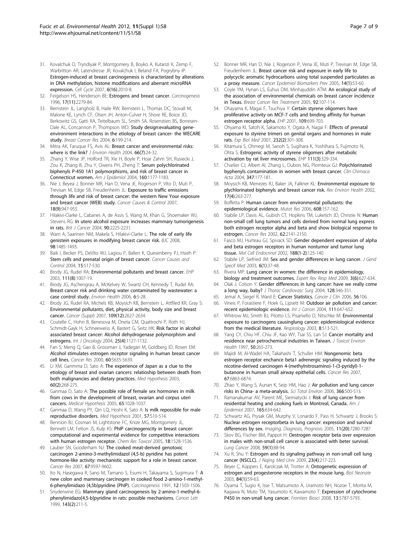- <span id="page-6-0"></span>31. Kovalchuk O, Tryndiyak P, Montgomery B, Boyko A, Kutanzi K, Zemp F, Warbritton AR, Latendresse JR, Kovalchuk I, Beland FA, Pogrybny IP: Estrogen-induced at breast carcinogenesis is characterized by alterations in DNA methylation, histone modifications and aberrant microRNA expression. Cell Cycle 2007, 6(16):2010-8.
- 32. Feigelson HS, Henderson BE: Estrogens and breast cancer. Carcinogenesis 1996, 17(11):2279-84.
- 33. Bernstein JL, Langholz B, Haile RW, Bernstein L, Thomas DC, Stovall M, Malone KE, Lynch CF, Olsen JH, Anton-Culver H, Shore RE, Boice JD, Berkowitz GS, Gatti RA, Teitelbaum SL, Smith SA, Rosenstien BS, Borresen-Dale AL, Concannon P, Thompson WD: Study design:evaluating geneenvironment interactions in the etiology of breast cancer- the WECARE study. Breast Cancer Res 2004, 6:199-214.
- 34. Mitra AK, Faruque FS, Avis AL: Breast cancer and environmental risks: where is the link? *J Environ Health 2004*, 66(7):24-32.
- 35. Zhang Y, Wise JP, Holford TR, Xie H, Boyle P, Hoar Zahm SH, Rusiecki J, Zou K, Zhang B, Zhu Y, Owens PH, Zheng T: Serum polychlorinated biphenyls P-450 1A1 polymorphisms, and risk of breast cancer in Connecticut women. Am J Epidemiol 2004, 160:1177-1183.
- 36. Nie J, Beyea J, Bonner MR, Han D, Vena JE, Rogerson P, Vito D, Muti P, Trevisan M, Edge SB, Freudenheim JL: Exposure to traffic emissions through life and risk of breast cancer: the western New Your exposure and breast cancer (WEB) study. Cancer Causes & Control 2007, 18(9):947-955.
- 37. Hilakivi-Clarke L, Cabanes A, de Assis S, Wang M, Khan G, Shoemaker WJ, Stevens RG: In utero alcohol exposure increases mammary tumorigenesis in rats. Brit J Cancer 2004, 90:2225-2231.
- 38. Warri A, Saarinen NM, Makela S, Hilakivi-Clarke L: The role of early life genistein exposures in modifying breast cancer risk. BJC 2008, 98:1485-1493.
- 39. Baik I, Becker PS, DeVito WJ, Lagiou P, Ballen K, Quesenberry PJ, Hsieh P: Stem cells and prenatal origin of breast cancer. Cancer Causes and Control 2004, 15:517-530.
- 40. Brody JG, Rudel RA: Environmental pollutants and breast cancer. EHP 2003, 111(8):1007-19.
- 41. Brody JG, Aschengrau A, McKelvey W, Swartz CH, Kennedy T, Rudel RA: Breast cancer risk and drinking water contaminated by wastewater: a case control study. Environ Health 2006, 6:5-28.
- 42. Brody JG, Rudel RA, Michels KB, Moysich KB, Bernstein L, Attfiled KR, Gray S: Environmental pollutants, diet, physical activity, body size and breast cancer. Cancer (Suppl) 2007, 109(12):2627-2634.
- 43. Coutelle C, Hohn B, Benesova M, Oneta CM, Quattrochi P, Roth HJ, Schmidt-Gayk H, Schneeweiss A, Bastert G, Seitz HK: Risk factor in alcohol associated breast cancer: Alcohol dehydrogenase polymorphism and estrogens. Int J Oncology 2004, 25(4):1127-1132.
- 44. Fan S, Meng Q, Gao B, Grossman J, Yadegari M, Goldberg ID, Rosen EM: Alcohol stimulates estrogen receptor signaling in human breast cancer cell lines. Cancer Res 2000, 60:5635-5639.
- 45. Li XM, Ganmma D, Sato A: The experience of Japan as a clue to the etiology of breast and ovarian cancers: relatioship between death from both malignancies and dietary practices. Med Hypothesis 2003, 60(2):268-275.
- 46. Ganmaa D, Sato A: The possible role of female sex hormones in milk from cows in the development of breast, ovarian and corpus uteri cancers. Medical Hypothesis 2005, 65:1028-1037.
- 47. Ganmaa D, Wang PY, Qin LQ, Hoshi K, Sato A: Is milk repossible for male reproductive disorders. Med Hypothesis 2001, 57:510-514.
- 48. Bennion BJ, Cosman M, Lightstone FC, Knize MG, Montgomery JL, Bennett LM, Felton JS, Kulp KS: PhIP carcinogenicity in breast cancer: computational and experimental evidence for competitive interactions with human estrogen receptor. Chem Res Toxicol 2005, 18:1528-1536.
- 49. Lauber SN, Gooderham NJ: The cooked meat-derived genotoxic carcinogen 2-amino-3-methylimidazol (4,5-b) pyridine has potent hormone-like activity: mechanistic support for a role in breast cancer. Cancer Res 2007, 67:9597-9602.
- 50. Ito N, Hasegawa R, Sano M, Tamano S, Esumi H, Takayama S, Sugimura T: A new colon and mammary carcinogen in cooked food 2-amino-1-methyl-6-phenylimidazo (4,5b)pyridine (PhIP). Carcinogenesis 1991, 12:1503-1506.
- 51. Snyderwine EG: Mammary gland carcinogenesis by 2-amino-1-methyl-6 phenylimidazo[4,5-b]pyridine in rats: possible mechanisms. Cancer Lett 1999, 143(2):211-5.
- 52. Bonner MR, Han D, Nie J, Rogerson P, Vena JE, Muti P, Trevisan M, Edge SB, Freudenheim JL: Breast cancer risk and exposure in early life to polycyclic aromatic hydrocarbons using total suspended particulates as a proxy measure. Cancer Epidemiol Biomarkers Prev 2005, 14(1):53-60.
- 53. Coyle YM, Hynan LS, Euhus DM, Minhajuddin ATM: An ecological study of the association of environmental chemicals on breast cancer incidence in Texas. Breast Cancer Res Treatment 2005, 92:107-114.
- 54. Ohayama K, Magai F, Tsuchiya Y: Certain styrene oligomers have proliferative activity on MCF-7 cells and binding affinity for human estrogen receptor alpha. EHP 2001, 109:699-703.
- 55. Ohyama KI, Satoh K, Sakamoto Y, Ogata A, Nagai F: Effects of prenatal exposure to styrene trimers on genital organs and hormones in male rats. Exp Biol Med 2007, 232(2):301-308.
- 56. Kitamura S, Ohmegi M, Sanoh S, Sugihara K, Yoshihara S, Fujimoto N, Ohta S: Estrogenic activity of styrene oligomers after metabolic activation by rat liver microsomes. EHP 111(3):329-334.
- 57. Charlier CJ, Albert AI, Zhang L, Dubois NG, Plomteux GJ: Polychlorinated byphenyls contamination in women with breast cancer. Clin Chimaca Acta 2004, 347:177-181.
- 58. Moysich KB, Menezes RJ, Baker JA, Falkner KL: Environmental exposure to plychlorinated biphenyls and breast cancer risk. Rev Environ Health 2002, 17(4):263-277.
- 59. Boffetta P: Human cancer from environmental pollutants: the epidemiological evidence. Mutat Res 2006, 608:157-162.
- 60. Stabile LP, Davis AL, Gubish CT, Hopkins TM, Luketich JD, Christie N: Human non-small cell lung tumors and cells derived from normal lung express both estrogen receptor alpha and beta and show biological response to estrogen. Cancer Res 2002, 62:2141-2150.
- 61. Fasco MJ, Hurteau GJ, Spivack SD: Gender dependent expression of alpha and beta estrogen receptors in human nontumor and tumor lung tissue. Mol Cell Endocrinol 2002, 188(1-2):125-140.
- Stabile LP, Siefried JM: Sex and gender differences in lung cancer. J Gend Specif Med 2003, 6(1):37-48.
- 63. Rivera MP: Lung cancer in women: the difference in epidemiology, biology and treatment outcomes. Expert Rev Resp Med 2009, 3(6):627-634.
- 64. Olak J, Colson Y: Gender differences in lung cancer: have we really come a long way, baby? J Thorac Cardiovasc Surg 2004, 128:346-351.
- 65. Jemal A, Siegel R, Ward E: Cancer Statistics. Cancer J Clin 2006, 56:106.
- 66. Vineis P, Forastiere F, Hoek G, Lipsett M: Outdoor air pollution and cancer: recent epidemiologic evidence. Int J Cancer 2004, 111:647-652.
- 67. Whitrow MJ, Smith BJ, Pilotto LS, Pisaniello D, Nitschke M: Environmental exposure to carcinogens causinglung cancer: epidemiological evidence from the medical literature. Respirology 2003, 8:513-521.
- 68. Yang CY, Chiu HF, Chiu JF, Kao WY, Tsai SS, Lan SJ: Cancer mortality and residence near petrochemical industries in Taiwan. J Toxicol Environ Health 1997, 50:265-273.
- 69. Majidi M, Al-Wadel HA, Takahashi T, Schuller HM: Nongenomic beta estrogen receptor enchance beta1 adrenergic signaling induced by the nicotine-derived carcinogen 4-(methylnitrosamino)-1-(3-pyridyl)-1 butanone in human small airway epithelial cells. Cancer Res 2007, 67:6863-6874.
- 70. Zhao Y, Wang S, Aunan K, Seip HM, Hao J: Air pollution and lung cancer risks in China- a meta-analysis. Sci Total Environ 2006, 366:500-513.
- 71. Ramanakumar AV, Parent ME, Siemiatycki J: Risk of lung cancer from residential heating and cooking fuels in Montreal, Canada. Am J Epidemiol 2007, 165:634-642.
- 72. Schwartz AG, Prysak GM, Murphy V, Lonardo F, Pass H, Schwartz J, Brooks S: Nuclear estrogen receptorbeta in lung cancer: expression and survival differences by sex. Imaging, Diagnosis, Prognosis 2005, 11(20):7280-7287.
- 73. Skov BG, Fischer BM, Pappot H: Oestrogen receptor beta over expression in males with non-small cell cancer is associated with beter survival. Lung Cancer 2008, 59(1):88-94.
- 74. Xu R, Shu Y: Estrogen and its signaling pathway in non-small cell lung cancer (NSCLC). J Najing Med Univ 2009, 23(4):217-223.
- 75. Beyer C, Küppers E, Karolczak M, Trotter A: Ontogenetic expression of estrogen and progesterone receptors in the mouse lung. Biol Neonate 2003, 84(1):59-63.
- 76. Oyama T, Sugio K, Isse T, Matsumoto A, Uramoto NH, Nozoe T, Morita M, Kagawa N, Muto TM, Yasumoto K, Kawamoto T: Expression of cytochrome P450 in non-small lung cancer. Frontiers Biosci 2008, 13:5787-5793.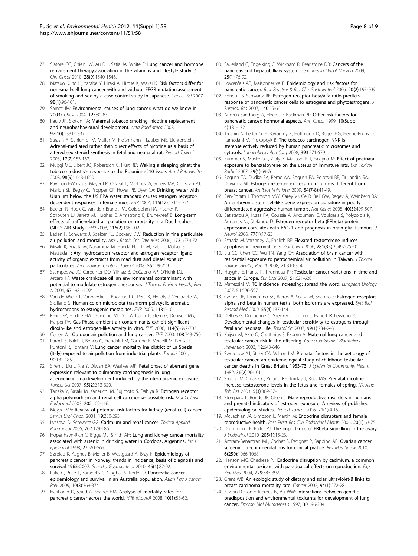- <span id="page-7-0"></span>77. Slatore CG, Chien JW, Au DH, Satia JA, White E: Lung cancer and hormone replacement therapy:association in the vitamins and lifestyle study. J Clin Oncol 2010, 28(9):1540-1546.
- 78. Matsuo K, Ito H, Yatabe Y, Hiraki A, Hirose K, Wakai K: Risk factors differ for non-small-cell lung cancer with and without EFGR mutation:assessment of smoking and sex by a case-control study in Japanese. Cancer Sci 2007, 98(1):96-101.
- 79. Samet JM: Environmental causes of lung cancer: what do we know in 2003? Chest 2004, 125:80-83.
- 80. Pauly JR, Slotkin TA: Maternal tobacco smoking, nicotine replacement and neurobeahavioural development. Acta Paediatrica 2008, 97(10):1331-1337.
- 81. Sarasin A, Schlumpf M, Muller M, Fleishmann I, Lauber ME, Lichtenstein : Adrenal-mediated rather than direct effects of nicotine as a basis of altered sex steroid synthesis in fetal and neonatal rat. Reprod Toxicol 2003, 17(2):153-162.
- 82. Muggi ME, Elbert JO, Robertson C, Hurt RD: Waking a sleeping ginat: the tobacco industry's response to the Polonium-210 issue. Am J Pub Health 2008, 98(9):1643-1650.
- 83. Raymond-Whish S, Mayer LP, O'Neal T, Martinez A, Sellers MA, Christian PJ, Marion SL, Begay C, Propper CR, Hoyer PB, Dyer CA: Drinking water with Uranium below the US EPA water standard causes estrogen receptordependent responses in female mice. EHP 2007, 115(12):1711-1716.
- 84. Beelen R, Hoek G, van den Brandt PA, Goldbohm RA, Fischer P, Schouten LJ, Jerrett M, Hughes E, Armstrong B, Brunekreef B: Long-term effects of traffic-related air pollution on mortality in a Ducth cohort (NLCS-AIR Study). EHP 2008, 116(2):196-202.
- 85. Laden F, Schwartz J, Speizer FE, Dockery DW: Reduction in fine particulate air pollution and mortality. Am J Respir Crit Care Med 2006, 173:667-672.
- 86. Misaki K, Suzuki M, Nakamura M, Handa H, Iida M, Kato T, Matsui S, Matsuda T: Aryl hydrocarbon receptor and estrogen receptor ligand activity of organic exctracts from road dust and diesel exhaust particulates. Arch Environ Contam Toxicol 2008, 55:199-209.
- 87. Ssempebwa JC, Carpenter DO, Yilmaz B, DeCaprio AP, O'Hehir DJ, Arcaro KF: Waste crankcase oil: an environmental contaminant with potential to modulate estrogenic responses. J Toxicol Environ Health, Part A 2004, 67:1981-1094.
- 88. Van de Wiele T, Vanhaecke L, Boeckaert C, Peru K, Headly J, Verstraete W, Siciliano S: Human colon microbiota trasnform polycyclic aromatic hydrocarbons to estrogenic metablites. EHP 2005, 113:6-10.
- 89. Klein GP, Hodge EM, Diamond ML, Yip A, Dann T, Stern G, Denison MS, Harper PA: Gas-Phase ambient air contaminants exhibit significant dioxin-like and estrogen-like activity in vitro. EHP 2006, 114(5):697-703.
- 90. Cohen AJ: Outdoor air pollution and lung cancer. EHP 2000, 108:743-750.
- 91. Parodi S, Baldi R, Benco C, Franchini M, Garrone E, Vercelli M, Pensa F, Puntoni R, Fontana V: Lung cancer mortality ina district of La Spezia (Italy) exposed to air pollution from industrial plants. Tumori 2004, 90:181-185.
- 92. Shen J, Liu J, Xie Y, Diwan BA, Waalkes MP: Fetal onset of aberrant gene expression relevant to pulmonary carcinogenesis in lung adenocarcinoma development induced by the utero arsenic exposure. Toxicol Sci 2007, 95(2):313-320.
- 93. Tanaka Y, Sasaki M, Kaneuchi M, Fujimoto S, Dahiya R: Estrogen receptor alpha polymorhism and renal cell carcinoma- possible risk. Mol Cellular Endocrinol 2003, 202:109-116.
- 94. Moyad MA: Review of potential risk factors for kidney (renal cell) cancer. Semin Urol Oncol 2001, 19:280-293.
- 95. Ilyasova D, Schwartz GG: Cadmium and renal cancer. Toxicol Applied Pharmacol 2005, 207:179-186.
- 96. Hopenhayn-Rich C, Biggs ML, Smith AH: Lung and kidney cancer mortality associated with arsenic in drinking water in Cordoba, Argentina. Int J Epidemiol 1998, 27:561-569.
- 97. Søreide K, Aagnes B, Møller B, Westgaard A, Bray F: Epidemiology of pancreatic cancer in Norway: trends in incidence, basis of diagnosis and survival 1965-2007. Scand J Gastroenterol 2010, 45(1):82-92.
- 98. Luke C, Price T, Karapetis C, Singhai N, Roder D: Pancreatic cancer epidemiology and survival in an Australia population. Asian Pac J cancer Prev 2009, 10(3):369-374.
- 99. Hariharan D, Saied A, Kocher HM: Analysis of mortality rates for pancreatic cancer across the world. HPB (Oxford) 2008, 10(1):58-62.
- 100. Sauerland C, Engelking C, Wickham R, Pearlstone DB: Cancers of the pancreas and hepatobilliary system. Seminars in Oncol Nursing 2009, 25(1):76-92.
- 101. Lowenfels AB, Maisonneuve P: Epidemiology and risk factors for pancreatic cancer. Best Practice & Res Clin Gastroenteol 2006, 20(2):197-209.
- 102. Konduri S, Schwartz RE: Estrogen receptor beta/alfa ratio predicts response of pancreatic cancer cells to estrogens and phytoestrogens. J Surgical Res 2007, 140:55-66.
- 103. Andren-Sandberg A, Hoem D, Backman PL: Other risk factors for pancreatic cancer: hormonal aspects. Ann Oncol 1999, 10(Suppl 4):131-132.
- 104. Trushin N, Leder G, El Bayoumy K, Hoffmann D, Beger HG, Henne-Bruns D, Ramadani M, Prokopcyk B: The tobacco carcinogen NNK is stereoselectively reduced by human pancreatic microsomes and cytosols. Langenbecks Ach Surg 2008, 393:571-579.
- 105. Kummer V, Maskova J, Zraly Z, Matiasovic J, Faldyna M: Effect of postnatal exposure to benz(a)pyrene on the uterus of immature rats. Exp Toxicol Pathol 2007, 59(1):69-76.
- 106. Bogush TA, Dudko EA, Beme AA, Bogush EA, Polotskii BE, Tiuliandin SA, Davydov MI: Estrogen receptor expression in tumors different from breast cancer. Antibiot Khimioter 2009, 54(7-8):41-49.
- 107. Ben-Porath I, Thomson MW, Carey VJ, Ge R, Bell GW, Regev A, Weinberg RA: An embryonic stem cell-like gene expression signature in poorly differentiated aggressive human tumors. Nat Genet 2008, 40(5):499-507.
- 108. Batistatou A, Kyzas PA, Goussia A, Arkoumani E, Voulgaris S, Polyzoidis K, Agnantis NJ, Stefanou D: Estrogen receptor beta (ERbeta) protein expression correlates with BAG-1 and prognosis in brain glial tumours. J Neurol 2006, 77(1):17-23.
- 109. Estrada M, Varshney A, Ehrilich BE: Elevated testosterone induces apoptosis in neuronal cells. Biol Chem 2006, 281(35):25492-25501.
- 110. Liu CC, Chen CC, Wu TN, Yang CY: Association of brain cancer with residential exposure to petrochemical air pollution in Taiwan. J Toxicol Environ Health, Part A 2008, 71:310-314.
- 111. Huyghe E, Plante P, Thonneau PF: Testicular cancer variations in time and sapce in Europe. Eur Urol 2007, 51:621-628.
- 112. Maffezzini M: TC incidence increasing: spread the word. European Urology 2007, 51:596-597.
- 113. Cavaco JE, Laurentino SS, Barros A, Sousa M, Socorro S: Estrogen receptors alpha and beta in human testis: both isoforms are expressed. Syst Biol Reprod Med 2009, 55(4):137-144.
- 114. Delbes G, Duquenne C, Szenker J, Taccon J, Habert R, Levacher C: Developmental changes in testicular sensitivity to estrogens through feral and neonatal life. Toxicol Sci 2007, 99(1):234-243.
- 115. Kaijser M, Akre O, Cnattinius S, Ekbom A: Maternal lung cancer and testicular cancer risk in the offspring. Cancer Epidemiol Biomarkers, Prevention 2003, 12:643-646.
- 116. Swerdlow AJ, Stiller CA, Wilson LM: Prenatal factors in the aetiology of testicular cancer: an epidemiological study of childhood testicular cancer deaths in Great Britain, 1953-73. J Epidemiol Community Health 1982, 36(2):96-101.
- 117. Smith LM, Cloak CC, Poland RE, Torday J, Ross MG: Prenatal nicotine increase testosterone levels in the fetus and females offspring. Nicotine Tob Res 2003, 5(3):369-374.
- 118. Storgaard L, Bonde JP, Olsen J: Male reproductive disorders in humans and prenatal indicators of estrogen exposure. A review of published epidemiological studies. Reprod Toxicol 2006, 21(1):4-15.
- 119. McLachlan JA, Simpson E, Martin M: Endocrine disrupters and female reproductive health. Best Pract Res Clin Endocrinol Metab 2006, 20(1):63-75.
- 120. Drummond E, Fuller PJ: The importance of ERbeta signalling in the ovary. J Endocrinol 2010, 205(1):15-23.
- 121. Amram-Benamran ML, Cochet S, Petignat P, Sappino AP: Ovarian cancer screening: recommendations for clinical pratice. Rev Med Suisse 2010, 6(250):1066-1068.
- 122. Henson MC, Chedrese PJ: Endocrine disruption by cadmium, a common environmental toxicant with paradoxical effects on reproduction. Exp Biol Med 2004, 229:383-392.
- 123. Grant WB: An ecologic study of dietary and solar ultraviolet-B links to breast carcinoma mortality rate. Cancer 2002, 94(1):272-281.
- 124. El-Zein R, Conforti-Froes N, Au WW: Interactions between genetic predisposition and environmental toxicants for development of lung cancer. Environ Mol Mutagenesis 1997, 30:196-204.